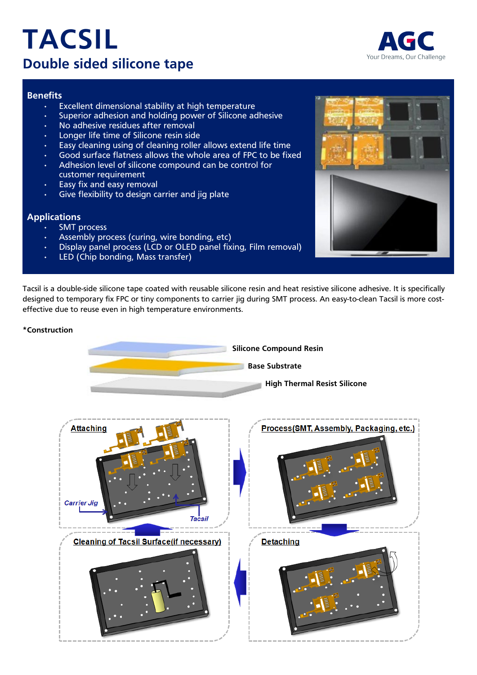# **TACSIL Double sided silicone tape**



## **Benefits**

- Excellent dimensional stability at high temperature
- Superior adhesion and holding power of Silicone adhesive
- No adhesive residues after removal
- Longer life time of Silicone resin side
- Easy cleaning using of cleaning roller allows extend life time
- Good surface flatness allows the whole area of FPC to be fixed
- Adhesion level of silicone compound can be control for customer requirement
- Easy fix and easy removal
- Give flexibility to design carrier and jig plate

## **Applications**

- SMT process
- Assembly process (curing, wire bonding, etc)
- Display panel process (LCD or OLED panel fixing, Film removal)
- LED (Chip bonding, Mass transfer)

Tacsil is a double-side silicone tape coated with reusable silicone resin and heat resistive silicone adhesive. It is specifically designed to temporary fix FPC or tiny components to carrier jig during SMT process. An easy-to-clean Tacsil is more costeffective due to reuse even in high temperature environments.

# **\*Construction**